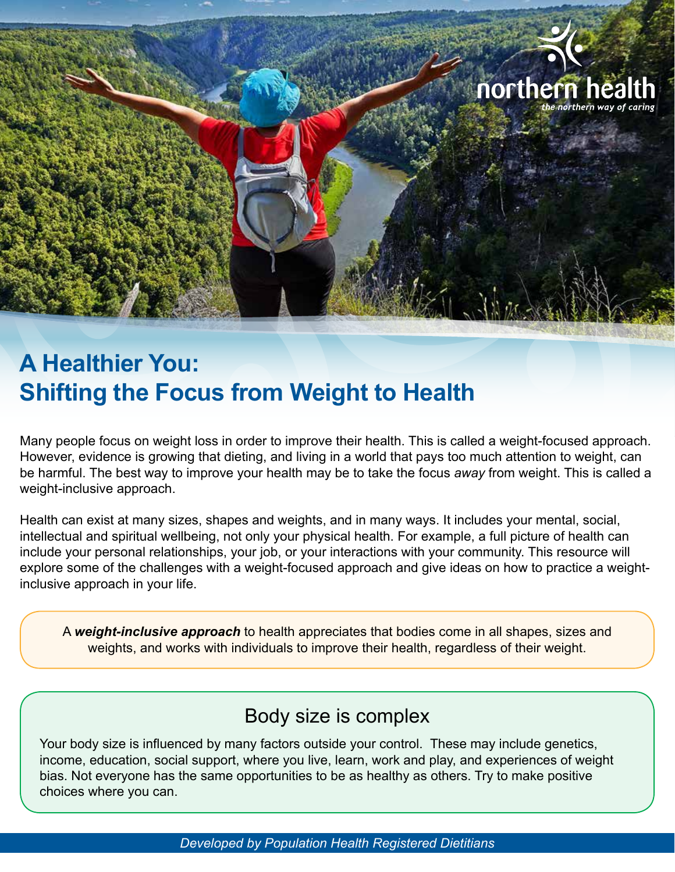

northern hea

# **A Healthier You: Shifting the Focus from Weight to Health**

Many people focus on weight loss in order to improve their health. This is called a weight-focused approach. However, evidence is growing that dieting, and living in a world that pays too much attention to weight, can be harmful. The best way to improve your health may be to take the focus *away* from weight. This is called a weight-inclusive approach.

Health can exist at many sizes, shapes and weights, and in many ways. It includes your mental, social, intellectual and spiritual wellbeing, not only your physical health. For example, a full picture of health can include your personal relationships, your job, or your interactions with your community. This resource will explore some of the challenges with a weight-focused approach and give ideas on how to practice a weightinclusive approach in your life.

A *weight-inclusive approach* to health appreciates that bodies come in all shapes, sizes and weights, and works with individuals to improve their health, regardless of their weight.

### Body size is complex

Your body size is influenced by many factors outside your control. These may include genetics, income, education, social support, where you live, learn, work and play, and experiences of weight bias. Not everyone has the same opportunities to be as healthy as others. Try to make positive choices where you can.

*Developed by Population Health Registered Dietitians*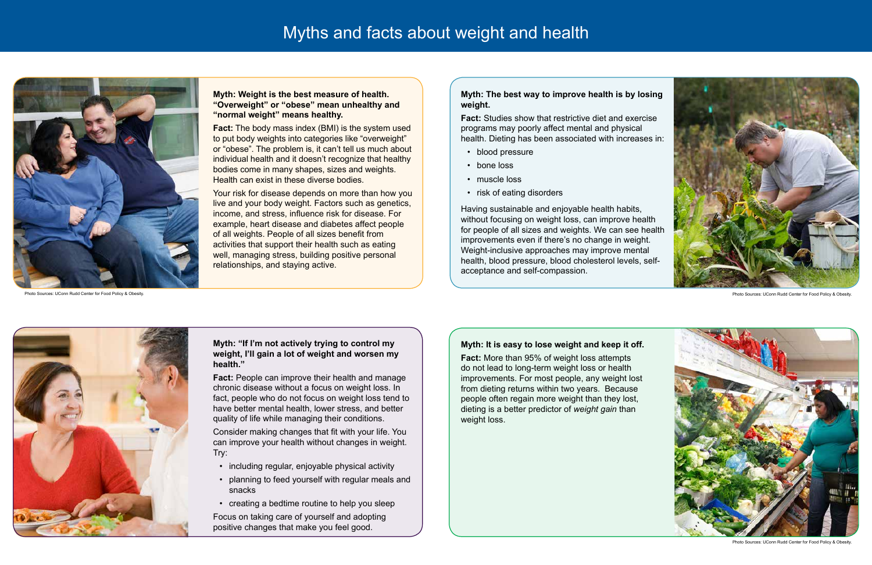#### **Myth: The best way to improve health is by losing weight.**

**Fact:** Studies show that restrictive diet and exercise programs may poorly affect mental and physical health. Dieting has been associated with increases in:

- blood pressure
- bone loss
- muscle loss
- risk of eating disorders

Having sustainable and enjoyable health habits, without focusing on weight loss, can improve health for people of all sizes and weights. We can see health improvements even if there's no change in weight. Weight-inclusive approaches may improve mental health, blood pressure, blood cholesterol levels, selfacceptance and self-compassion.



#### **Myth: "If I'm not actively trying to control my weight, I'll gain a lot of weight and worsen my health."**

**Fact:** People can improve their health and manage chronic disease without a focus on weight loss. In fact, people who do not focus on weight loss tend to have better mental health, lower stress, and better quality of life while managing their conditions.

Consider making changes that fit with your life. You can improve your health without changes in weight. Try:

- including regular, enjoyable physical activity
- planning to feed yourself with regular meals and snacks
- creating a bedtime routine to help you sleep

Focus on taking care of yourself and adopting positive changes that make you feel good.

#### **Myth: Weight is the best measure of health. "Overweight" or "obese" mean unhealthy and "normal weight" means healthy.**

**Fact:** The body mass index (BMI) is the system used to put body weights into categories like "overweight" or "obese". The problem is, it can't tell us much about individual health and it doesn't recognize that healthy bodies come in many shapes, sizes and weights. Health can exist in these diverse bodies.

Your risk for disease depends on more than how you live and your body weight. Factors such as genetics, income, and stress, influence risk for disease. For example, heart disease and diabetes affect people of all weights. People of all sizes benefit from activities that support their health such as eating well, managing stress, building positive personal relationships, and staying active.



Photo Sources: UConn Rudd Center for Food Policy & Obesity.

#### **Myth: It is easy to lose weight and keep it off.**

**Fact:** More than 95% of weight loss attempts do not lead to long-term weight loss or health improvements. For most people, any weight lost from dieting returns within two years. Because people often regain more weight than they lost, dieting is a better predictor of *weight gain* than weight loss.

# Myths and facts about weight and health



Photo Sources: UConn Rudd Center for Food Policy & Obesity.



Photo Sources: UConn Rudd Center for Food Policy & Obesity.